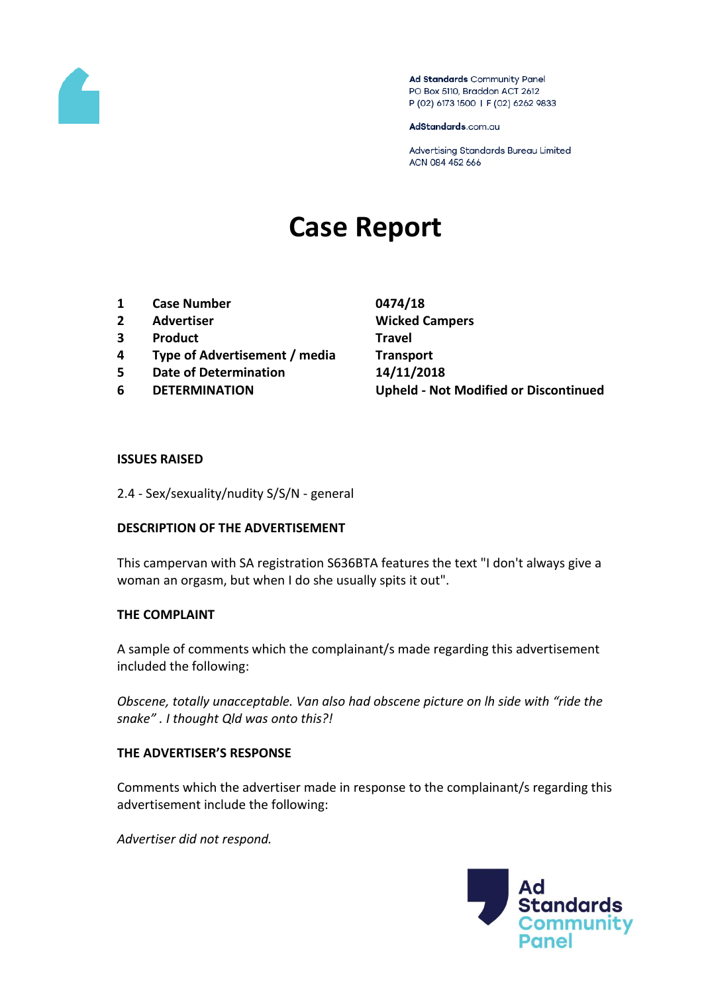

Ad Standards Community Panel PO Box 5110, Braddon ACT 2612 P (02) 6173 1500 | F (02) 6262 9833

AdStandards.com.au

Advertising Standards Bureau Limited ACN 084 452 666

# **Case Report**

- **1 Case Number 0474/18**
- **2 Advertiser Wicked Campers**
- **3 Product Travel**
- **4 Type of Advertisement / media Transport**
- **5 Date of Determination 14/11/2018**
- 

**6 DETERMINATION Upheld - Not Modified or Discontinued**

### **ISSUES RAISED**

2.4 - Sex/sexuality/nudity S/S/N - general

### **DESCRIPTION OF THE ADVERTISEMENT**

This campervan with SA registration S636BTA features the text "I don't always give a woman an orgasm, but when I do she usually spits it out".

## **THE COMPLAINT**

A sample of comments which the complainant/s made regarding this advertisement included the following:

*Obscene, totally unacceptable. Van also had obscene picture on lh side with "ride the snake" . I thought Qld was onto this?!* 

## **THE ADVERTISER'S RESPONSE**

Comments which the advertiser made in response to the complainant/s regarding this advertisement include the following:

*Advertiser did not respond.*

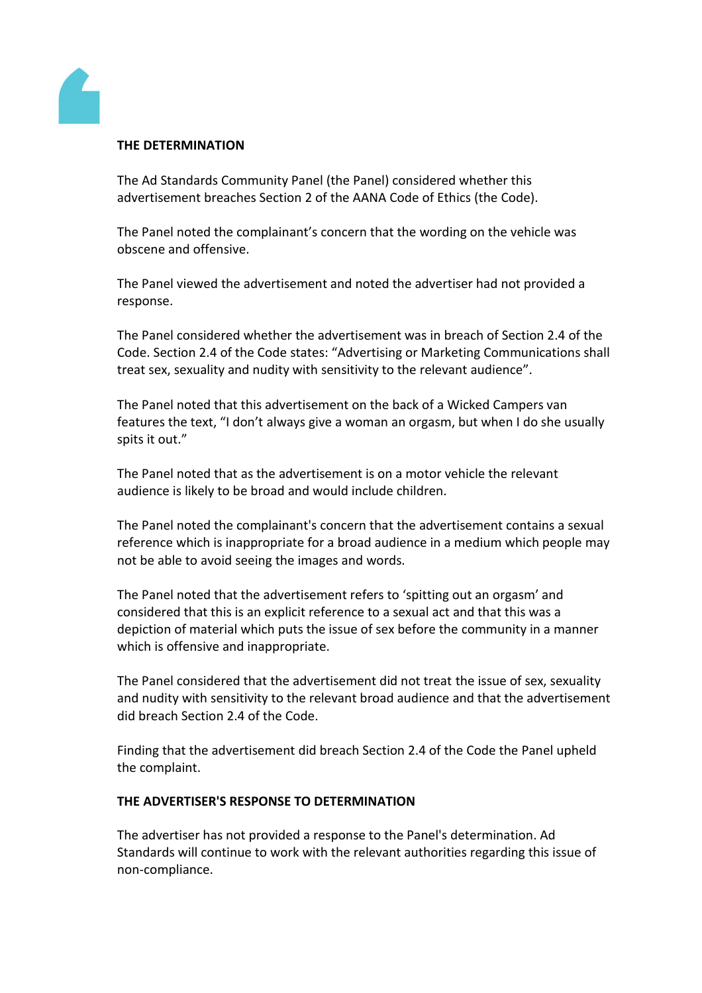

# **THE DETERMINATION**

The Ad Standards Community Panel (the Panel) considered whether this advertisement breaches Section 2 of the AANA Code of Ethics (the Code).

The Panel noted the complainant's concern that the wording on the vehicle was obscene and offensive.

The Panel viewed the advertisement and noted the advertiser had not provided a response.

The Panel considered whether the advertisement was in breach of Section 2.4 of the Code. Section 2.4 of the Code states: "Advertising or Marketing Communications shall treat sex, sexuality and nudity with sensitivity to the relevant audience".

The Panel noted that this advertisement on the back of a Wicked Campers van features the text, "I don't always give a woman an orgasm, but when I do she usually spits it out."

The Panel noted that as the advertisement is on a motor vehicle the relevant audience is likely to be broad and would include children.

The Panel noted the complainant's concern that the advertisement contains a sexual reference which is inappropriate for a broad audience in a medium which people may not be able to avoid seeing the images and words.

The Panel noted that the advertisement refers to 'spitting out an orgasm' and considered that this is an explicit reference to a sexual act and that this was a depiction of material which puts the issue of sex before the community in a manner which is offensive and inappropriate.

The Panel considered that the advertisement did not treat the issue of sex, sexuality and nudity with sensitivity to the relevant broad audience and that the advertisement did breach Section 2.4 of the Code.

Finding that the advertisement did breach Section 2.4 of the Code the Panel upheld the complaint.

## **THE ADVERTISER'S RESPONSE TO DETERMINATION**

The advertiser has not provided a response to the Panel's determination. Ad Standards will continue to work with the relevant authorities regarding this issue of non-compliance.